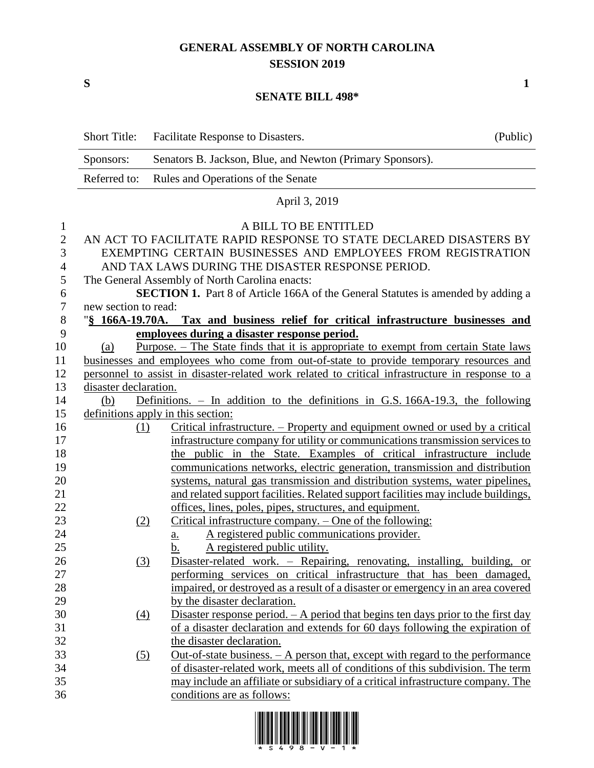## **GENERAL ASSEMBLY OF NORTH CAROLINA SESSION 2019**

**S 1**

## **SENATE BILL 498\***

|                                                    | Short Title:                                                                                               | Facilitate Response to Disasters.                                                                                                                                                                                                                                                                                                                             | (Public) |  |  |  |
|----------------------------------------------------|------------------------------------------------------------------------------------------------------------|---------------------------------------------------------------------------------------------------------------------------------------------------------------------------------------------------------------------------------------------------------------------------------------------------------------------------------------------------------------|----------|--|--|--|
|                                                    | Sponsors:                                                                                                  | Senators B. Jackson, Blue, and Newton (Primary Sponsors).                                                                                                                                                                                                                                                                                                     |          |  |  |  |
|                                                    | Referred to:                                                                                               | Rules and Operations of the Senate                                                                                                                                                                                                                                                                                                                            |          |  |  |  |
|                                                    |                                                                                                            | April 3, 2019                                                                                                                                                                                                                                                                                                                                                 |          |  |  |  |
| $\mathbf{1}$<br>$\overline{2}$<br>3<br>4<br>5<br>6 |                                                                                                            | A BILL TO BE ENTITLED<br>AN ACT TO FACILITATE RAPID RESPONSE TO STATE DECLARED DISASTERS BY<br>EXEMPTING CERTAIN BUSINESSES AND EMPLOYEES FROM REGISTRATION<br>AND TAX LAWS DURING THE DISASTER RESPONSE PERIOD.<br>The General Assembly of North Carolina enacts:<br><b>SECTION 1.</b> Part 8 of Article 166A of the General Statutes is amended by adding a |          |  |  |  |
| 7<br>$\,8\,$                                       | new section to read:<br>"§ 166A-19.70A. Tax and business relief for critical infrastructure businesses and |                                                                                                                                                                                                                                                                                                                                                               |          |  |  |  |
| 9                                                  |                                                                                                            | employees during a disaster response period.                                                                                                                                                                                                                                                                                                                  |          |  |  |  |
| 10                                                 | (a)                                                                                                        | Purpose. – The State finds that it is appropriate to exempt from certain State laws                                                                                                                                                                                                                                                                           |          |  |  |  |
| 11                                                 |                                                                                                            | businesses and employees who come from out-of-state to provide temporary resources and                                                                                                                                                                                                                                                                        |          |  |  |  |
| 12                                                 |                                                                                                            | personnel to assist in disaster-related work related to critical infrastructure in response to a                                                                                                                                                                                                                                                              |          |  |  |  |
| 13                                                 | disaster declaration.                                                                                      |                                                                                                                                                                                                                                                                                                                                                               |          |  |  |  |
| 14                                                 | (b)                                                                                                        | Definitions. $-$ In addition to the definitions in G.S. 166A-19.3, the following                                                                                                                                                                                                                                                                              |          |  |  |  |
| 15                                                 |                                                                                                            | definitions apply in this section:                                                                                                                                                                                                                                                                                                                            |          |  |  |  |
| 16                                                 | (1)                                                                                                        | Critical infrastructure. – Property and equipment owned or used by a critical                                                                                                                                                                                                                                                                                 |          |  |  |  |
| 17                                                 |                                                                                                            | infrastructure company for utility or communications transmission services to                                                                                                                                                                                                                                                                                 |          |  |  |  |
| 18                                                 |                                                                                                            | the public in the State. Examples of critical infrastructure include                                                                                                                                                                                                                                                                                          |          |  |  |  |
| 19                                                 |                                                                                                            | communications networks, electric generation, transmission and distribution                                                                                                                                                                                                                                                                                   |          |  |  |  |
| 20                                                 |                                                                                                            | systems, natural gas transmission and distribution systems, water pipelines,                                                                                                                                                                                                                                                                                  |          |  |  |  |
| 21                                                 |                                                                                                            | and related support facilities. Related support facilities may include buildings,                                                                                                                                                                                                                                                                             |          |  |  |  |
| 22                                                 |                                                                                                            | offices, lines, poles, pipes, structures, and equipment.                                                                                                                                                                                                                                                                                                      |          |  |  |  |
| 23                                                 | (2)                                                                                                        | Critical infrastructure company. - One of the following:                                                                                                                                                                                                                                                                                                      |          |  |  |  |
| 24<br>25                                           |                                                                                                            | A registered public communications provider.<br><u>a.</u><br>A registered public utility.                                                                                                                                                                                                                                                                     |          |  |  |  |
| 26                                                 | (3)                                                                                                        | <u>b.</u><br>Disaster-related work. - Repairing, renovating, installing, building, or                                                                                                                                                                                                                                                                         |          |  |  |  |
| 27                                                 |                                                                                                            | performing services on critical infrastructure that has been damaged,                                                                                                                                                                                                                                                                                         |          |  |  |  |
| 28                                                 |                                                                                                            | impaired, or destroyed as a result of a disaster or emergency in an area covered                                                                                                                                                                                                                                                                              |          |  |  |  |
| 29                                                 |                                                                                                            | by the disaster declaration.                                                                                                                                                                                                                                                                                                                                  |          |  |  |  |
| 30                                                 | $\left(4\right)$                                                                                           | Disaster response period. $- A$ period that begins ten days prior to the first day                                                                                                                                                                                                                                                                            |          |  |  |  |
| 31                                                 |                                                                                                            | of a disaster declaration and extends for 60 days following the expiration of                                                                                                                                                                                                                                                                                 |          |  |  |  |
| 32                                                 |                                                                                                            | the disaster declaration.                                                                                                                                                                                                                                                                                                                                     |          |  |  |  |
| 33                                                 | (5)                                                                                                        | Out-of-state business. $- A$ person that, except with regard to the performance                                                                                                                                                                                                                                                                               |          |  |  |  |
| 34                                                 |                                                                                                            | of disaster-related work, meets all of conditions of this subdivision. The term                                                                                                                                                                                                                                                                               |          |  |  |  |
| 35                                                 |                                                                                                            | may include an affiliate or subsidiary of a critical infrastructure company. The                                                                                                                                                                                                                                                                              |          |  |  |  |
| 36                                                 |                                                                                                            | conditions are as follows:                                                                                                                                                                                                                                                                                                                                    |          |  |  |  |
|                                                    |                                                                                                            |                                                                                                                                                                                                                                                                                                                                                               |          |  |  |  |

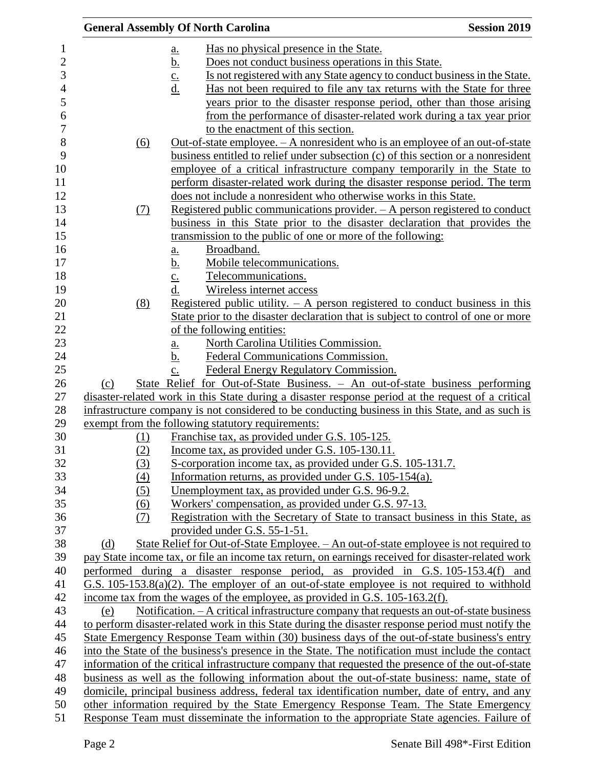|     |            |                            | <b>General Assembly Of North Carolina</b>         |                                                                              | <b>Session 2019</b>                                                                                |
|-----|------------|----------------------------|---------------------------------------------------|------------------------------------------------------------------------------|----------------------------------------------------------------------------------------------------|
|     |            | <u>a.</u>                  |                                                   | Has no physical presence in the State.                                       |                                                                                                    |
|     |            | <u>b.</u>                  |                                                   | Does not conduct business operations in this State.                          |                                                                                                    |
|     |            | $\underline{\mathbf{C}}$ . |                                                   |                                                                              | Is not registered with any State agency to conduct business in the State.                          |
|     |            | $\underline{d}$ .          |                                                   |                                                                              | <u>Has not been required to file any tax returns with the State for three</u>                      |
|     |            |                            |                                                   |                                                                              | years prior to the disaster response period, other than those arising                              |
|     |            |                            |                                                   |                                                                              | from the performance of disaster-related work during a tax year prior                              |
|     |            |                            | to the enactment of this section.                 |                                                                              |                                                                                                    |
|     | <u>(6)</u> |                            |                                                   |                                                                              | Out-of-state employee. $- A$ nonresident who is an employee of an out-of-state                     |
|     |            |                            |                                                   |                                                                              | business entitled to relief under subsection (c) of this section or a nonresident                  |
|     |            |                            |                                                   |                                                                              | employee of a critical infrastructure company temporarily in the State to                          |
|     |            |                            |                                                   |                                                                              | perform disaster-related work during the disaster response period. The term                        |
|     |            |                            |                                                   |                                                                              | does not include a nonresident who otherwise works in this State.                                  |
|     | (7)        |                            |                                                   |                                                                              | <u>Registered public communications provider. <math>-</math> A person registered to conduct</u>    |
|     |            |                            |                                                   |                                                                              | business in this State prior to the disaster declaration that provides the                         |
|     |            |                            |                                                   | transmission to the public of one or more of the following:                  |                                                                                                    |
|     |            | $\underline{a}$ .          | Broadband.                                        |                                                                              |                                                                                                    |
|     |            | <u>b.</u>                  | Mobile telecommunications.                        |                                                                              |                                                                                                    |
|     |            | $\overline{c}$ .           | Telecommunications.                               |                                                                              |                                                                                                    |
|     |            | d.                         | Wireless internet access                          |                                                                              |                                                                                                    |
|     | (8)        |                            |                                                   |                                                                              | Registered public utility. $-$ A person registered to conduct business in this                     |
|     |            |                            |                                                   |                                                                              | State prior to the disaster declaration that is subject to control of one or more                  |
|     |            |                            | of the following entities:                        |                                                                              |                                                                                                    |
|     |            | <u>a.</u>                  |                                                   | North Carolina Utilities Commission.                                         |                                                                                                    |
|     |            | <u>b.</u>                  |                                                   | Federal Communications Commission.                                           |                                                                                                    |
|     |            | $\mathbf{C}$ .             |                                                   | Federal Energy Regulatory Commission.                                        |                                                                                                    |
| (c) |            |                            |                                                   |                                                                              | State Relief for Out-of-State Business. – An out-of-state business performing                      |
|     |            |                            |                                                   |                                                                              | disaster-related work in this State during a disaster response period at the request of a critical |
|     |            |                            |                                                   |                                                                              | infrastructure company is not considered to be conducting business in this State, and as such is   |
|     |            |                            | exempt from the following statutory requirements: |                                                                              |                                                                                                    |
|     | (1)        |                            |                                                   | Franchise tax, as provided under G.S. 105-125.                               |                                                                                                    |
|     | (2)        |                            |                                                   | Income tax, as provided under G.S. 105-130.11.                               |                                                                                                    |
|     | (3)        |                            |                                                   | S-corporation income tax, as provided under G.S. 105-131.7.                  |                                                                                                    |
|     | (4)        |                            |                                                   | Information returns, as provided under G.S. 105-154(a).                      |                                                                                                    |
|     | (5)        |                            |                                                   | <u>Unemployment tax, as provided under G.S. 96-9.2.</u>                      |                                                                                                    |
|     | (6)        |                            |                                                   | Workers' compensation, as provided under G.S. 97-13.                         |                                                                                                    |
|     | (7)        |                            |                                                   |                                                                              | Registration with the Secretary of State to transact business in this State, as                    |
|     |            |                            | provided under G.S. 55-1-51.                      |                                                                              |                                                                                                    |
| (d) |            |                            |                                                   |                                                                              | <u>State Relief for Out-of-State Employee. – An out-of-state employee is not required to</u>       |
|     |            |                            |                                                   |                                                                              | pay State income tax, or file an income tax return, on earnings received for disaster-related work |
|     |            |                            |                                                   |                                                                              | performed during a disaster response period, as provided in G.S. 105-153.4(f) and                  |
|     |            |                            |                                                   |                                                                              | G.S. $105-153.8(a)(2)$ . The employer of an out-of-state employee is not required to withhold      |
|     |            |                            |                                                   | income tax from the wages of the employee, as provided in G.S. 105-163.2(f). |                                                                                                    |
| (e) |            |                            |                                                   |                                                                              | Notification. - A critical infrastructure company that requests an out-of-state business           |
|     |            |                            |                                                   |                                                                              | to perform disaster-related work in this State during the disaster response period must notify the |
|     |            |                            |                                                   |                                                                              | State Emergency Response Team within (30) business days of the out-of-state business's entry       |
|     |            |                            |                                                   |                                                                              | into the State of the business's presence in the State. The notification must include the contact  |
|     |            |                            |                                                   |                                                                              | information of the critical infrastructure company that requested the presence of the out-of-state |
|     |            |                            |                                                   |                                                                              | business as well as the following information about the out-of-state business: name, state of      |
|     |            |                            |                                                   |                                                                              | domicile, principal business address, federal tax identification number, date of entry, and any    |
|     |            |                            |                                                   |                                                                              | other information required by the State Emergency Response Team. The State Emergency               |
|     |            |                            |                                                   |                                                                              | Response Team must disseminate the information to the appropriate State agencies. Failure of       |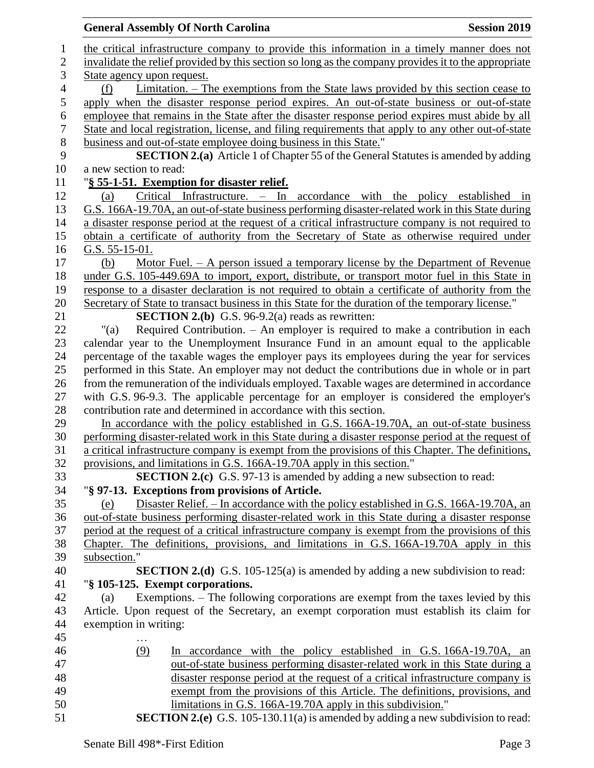|                  | <b>General Assembly Of North Carolina</b>                                                            | <b>Session 2019</b> |
|------------------|------------------------------------------------------------------------------------------------------|---------------------|
| $\mathbf{1}$     | the critical infrastructure company to provide this information in a timely manner does not          |                     |
| $\mathfrak{2}$   | invalidate the relief provided by this section so long as the company provides it to the appropriate |                     |
| 3                | State agency upon request.                                                                           |                     |
| $\overline{4}$   | <u>Limitation. – The exemptions from the State laws provided by this section cease to</u><br>(f)     |                     |
| 5                | apply when the disaster response period expires. An out-of-state business or out-of-state            |                     |
| 6                | employee that remains in the State after the disaster response period expires must abide by all      |                     |
| $\boldsymbol{7}$ | State and local registration, license, and filing requirements that apply to any other out-of-state  |                     |
| $\,8\,$          | business and out-of-state employee doing business in this State."                                    |                     |
| 9                | <b>SECTION 2.(a)</b> Article 1 of Chapter 55 of the General Statutes is amended by adding            |                     |
| 10               | a new section to read:                                                                               |                     |
| 11               | "§ 55-1-51. Exemption for disaster relief.                                                           |                     |
| 12               | Infrastructure. – In accordance with the policy established in<br>Critical<br>(a)                    |                     |
| 13               | G.S. 166A-19.70A, an out-of-state business performing disaster-related work in this State during     |                     |
| 14               | a disaster response period at the request of a critical infrastructure company is not required to    |                     |
| 15               | obtain a certificate of authority from the Secretary of State as otherwise required under            |                     |
| 16               | G.S. $55-15-01$ .                                                                                    |                     |
| 17               | Motor Fuel. $-$ A person issued a temporary license by the Department of Revenue<br>(b)              |                     |
| 18               | under G.S. 105-449.69A to import, export, distribute, or transport motor fuel in this State in       |                     |
| 19               | response to a disaster declaration is not required to obtain a certificate of authority from the     |                     |
| 20               | Secretary of State to transact business in this State for the duration of the temporary license."    |                     |
| 21               | <b>SECTION 2.(b)</b> G.S. 96-9.2(a) reads as rewritten:                                              |                     |
| 22               | Required Contribution. – An employer is required to make a contribution in each<br>"(a)              |                     |
| 23               | calendar year to the Unemployment Insurance Fund in an amount equal to the applicable                |                     |
| 24               | percentage of the taxable wages the employer pays its employees during the year for services         |                     |
| 25               | performed in this State. An employer may not deduct the contributions due in whole or in part        |                     |
| 26               | from the remuneration of the individuals employed. Taxable wages are determined in accordance        |                     |
| 27               | with G.S. 96-9.3. The applicable percentage for an employer is considered the employer's             |                     |
| 28               | contribution rate and determined in accordance with this section.                                    |                     |
| 29               | In accordance with the policy established in G.S. 166A-19.70A, an out-of-state business              |                     |
| 30               | performing disaster-related work in this State during a disaster response period at the request of   |                     |
| 31               | a critical infrastructure company is exempt from the provisions of this Chapter. The definitions,    |                     |
| 32               | provisions, and limitations in G.S. 166A-19.70A apply in this section."                              |                     |
| 33               | <b>SECTION 2.(c)</b> G.S. 97-13 is amended by adding a new subsection to read:                       |                     |
| 34               | "§ 97-13. Exceptions from provisions of Article.                                                     |                     |
| 35               | Disaster Relief. – In accordance with the policy established in G.S. 166A-19.70A, an<br>(e)          |                     |
| 36               | out-of-state business performing disaster-related work in this State during a disaster response      |                     |
| 37               | period at the request of a critical infrastructure company is exempt from the provisions of this     |                     |
| 38               | Chapter. The definitions, provisions, and limitations in G.S. 166A-19.70A apply in this              |                     |
| 39               | subsection."                                                                                         |                     |
| 40               | <b>SECTION 2.(d)</b> G.S. 105-125(a) is amended by adding a new subdivision to read:                 |                     |
| 41               | "§ 105-125. Exempt corporations.                                                                     |                     |
| 42               | Exemptions. – The following corporations are exempt from the taxes levied by this<br>(a)             |                     |
| 43               | Article. Upon request of the Secretary, an exempt corporation must establish its claim for           |                     |
| 44               | exemption in writing:                                                                                |                     |
| 45               |                                                                                                      |                     |
| 46               | (9)<br>In accordance with the policy established in G.S. 166A-19.70A, an                             |                     |
| 47               | out-of-state business performing disaster-related work in this State during a                        |                     |
| 48               | disaster response period at the request of a critical infrastructure company is                      |                     |
| 49               | exempt from the provisions of this Article. The definitions, provisions, and                         |                     |
| 50               | limitations in G.S. 166A-19.70A apply in this subdivision."                                          |                     |
| 51               | <b>SECTION 2.(e)</b> G.S. 105-130.11(a) is amended by adding a new subdivision to read:              |                     |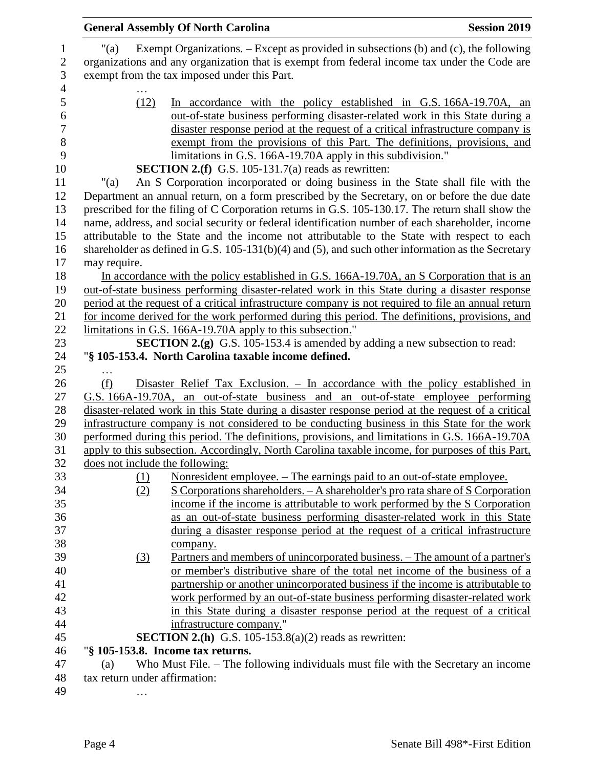|                  |                                 | <b>General Assembly Of North Carolina</b>                                                                                                                                                                                             | <b>Session 2019</b> |
|------------------|---------------------------------|---------------------------------------------------------------------------------------------------------------------------------------------------------------------------------------------------------------------------------------|---------------------|
| $\boldsymbol{2}$ | "(a)                            | Exempt Organizations. - Except as provided in subsections (b) and (c), the following<br>organizations and any organization that is exempt from federal income tax under the Code are<br>exempt from the tax imposed under this Part.  |                     |
|                  | (12)                            | In accordance with the policy established in G.S. 166A-19.70A, an<br>out-of-state business performing disaster-related work in this State during a<br>disaster response period at the request of a critical infrastructure company is |                     |
|                  |                                 | exempt from the provisions of this Part. The definitions, provisions, and<br>limitations in G.S. 166A-19.70A apply in this subdivision."                                                                                              |                     |
|                  |                                 | <b>SECTION 2.(f)</b> G.S. 105-131.7(a) reads as rewritten:                                                                                                                                                                            |                     |
|                  | " $(a)$                         | An S Corporation incorporated or doing business in the State shall file with the                                                                                                                                                      |                     |
| 12               |                                 | Department an annual return, on a form prescribed by the Secretary, on or before the due date                                                                                                                                         |                     |
| 13               |                                 | prescribed for the filing of C Corporation returns in G.S. 105-130.17. The return shall show the                                                                                                                                      |                     |
| 14               |                                 | name, address, and social security or federal identification number of each shareholder, income                                                                                                                                       |                     |
| 15               |                                 | attributable to the State and the income not attributable to the State with respect to each                                                                                                                                           |                     |
| 16               |                                 | shareholder as defined in G.S. $105-131(b)(4)$ and $(5)$ , and such other information as the Secretary                                                                                                                                |                     |
| 17               | may require.                    |                                                                                                                                                                                                                                       |                     |
|                  |                                 | In accordance with the policy established in G.S. 166A-19.70A, an S Corporation that is an                                                                                                                                            |                     |
| 19<br>20         |                                 | out-of-state business performing disaster-related work in this State during a disaster response                                                                                                                                       |                     |
|                  |                                 | period at the request of a critical infrastructure company is not required to file an annual return                                                                                                                                   |                     |
|                  |                                 | for income derived for the work performed during this period. The definitions, provisions, and                                                                                                                                        |                     |
|                  |                                 | limitations in G.S. 166A-19.70A apply to this subsection."                                                                                                                                                                            |                     |
|                  |                                 | <b>SECTION 2.(g)</b> G.S. 105-153.4 is amended by adding a new subsection to read:                                                                                                                                                    |                     |
| 24               |                                 | "§ 105-153.4. North Carolina taxable income defined.                                                                                                                                                                                  |                     |
| 26               |                                 |                                                                                                                                                                                                                                       |                     |
|                  | (f)                             | Disaster Relief Tax Exclusion. – In accordance with the policy established in                                                                                                                                                         |                     |
|                  |                                 | G.S. 166A-19.70A, an out-of-state business and an out-of-state employee performing                                                                                                                                                    |                     |
|                  |                                 | disaster-related work in this State during a disaster response period at the request of a critical                                                                                                                                    |                     |
|                  |                                 | infrastructure company is not considered to be conducting business in this State for the work                                                                                                                                         |                     |
|                  |                                 | performed during this period. The definitions, provisions, and limitations in G.S. 166A-19.70A<br>apply to this subsection. Accordingly, North Carolina taxable income, for purposes of this Part,                                    |                     |
|                  | does not include the following: |                                                                                                                                                                                                                                       |                     |
|                  | (1)                             | <u>Nonresident employee. – The earnings paid to an out-of-state employee.</u>                                                                                                                                                         |                     |
|                  | (2)                             | S Corporations shareholders. - A shareholder's pro rata share of S Corporation                                                                                                                                                        |                     |
|                  |                                 | income if the income is attributable to work performed by the S Corporation                                                                                                                                                           |                     |
|                  |                                 | as an out-of-state business performing disaster-related work in this State                                                                                                                                                            |                     |
|                  |                                 | during a disaster response period at the request of a critical infrastructure                                                                                                                                                         |                     |
|                  |                                 | company.                                                                                                                                                                                                                              |                     |
|                  | (3)                             | <u>Partners and members of unincorporated business. – The amount of a partner's</u>                                                                                                                                                   |                     |
|                  |                                 | or member's distributive share of the total net income of the business of a                                                                                                                                                           |                     |
|                  |                                 | partnership or another unincorporated business if the income is attributable to                                                                                                                                                       |                     |
|                  |                                 | work performed by an out-of-state business performing disaster-related work                                                                                                                                                           |                     |
|                  |                                 | in this State during a disaster response period at the request of a critical                                                                                                                                                          |                     |
|                  |                                 | infrastructure company."                                                                                                                                                                                                              |                     |
|                  |                                 | <b>SECTION 2.(h)</b> G.S. 105-153.8(a)(2) reads as rewritten:                                                                                                                                                                         |                     |
|                  |                                 | "§ 105-153.8. Income tax returns.                                                                                                                                                                                                     |                     |
|                  | (a)                             | Who Must File. – The following individuals must file with the Secretary an income                                                                                                                                                     |                     |
|                  | tax return under affirmation:   |                                                                                                                                                                                                                                       |                     |
|                  | .                               |                                                                                                                                                                                                                                       |                     |
|                  |                                 |                                                                                                                                                                                                                                       |                     |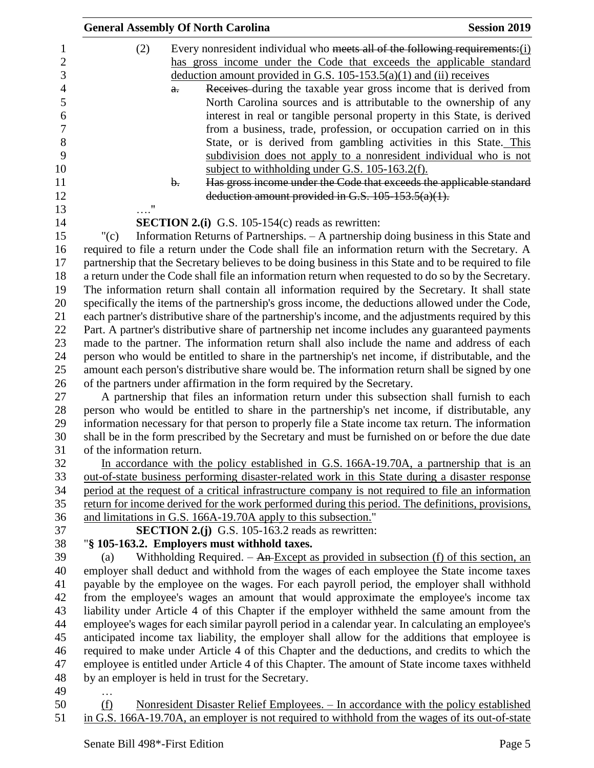|                            | <b>General Assembly Of North Carolina</b>                                                                                                                                                                                                                                                              | <b>Session 2019</b> |
|----------------------------|--------------------------------------------------------------------------------------------------------------------------------------------------------------------------------------------------------------------------------------------------------------------------------------------------------|---------------------|
| (2)                        | Every nonresident individual who meets all of the following requirements: $(i)$<br>has gross income under the Code that exceeds the applicable standard<br>deduction amount provided in G.S. $105-153.5(a)(1)$ and (ii) receives<br>Receives during the taxable year gross income that is derived from |                     |
|                            | $a$ .<br>North Carolina sources and is attributable to the ownership of any<br>interest in real or tangible personal property in this State, is derived                                                                                                                                                |                     |
|                            | from a business, trade, profession, or occupation carried on in this<br>State, or is derived from gambling activities in this State. This<br>subdivision does not apply to a nonresident individual who is not                                                                                         |                     |
|                            | subject to withholding under G.S. 105-163.2(f).<br>Has gross income under the Code that exceeds the applicable standard<br>$\mathbf{b}$ .                                                                                                                                                              |                     |
|                            | deduction amount provided in G.S. $105-153.5(a)(1)$ .                                                                                                                                                                                                                                                  |                     |
|                            | <b>SECTION 2.(i)</b> G.S. 105-154(c) reads as rewritten:                                                                                                                                                                                                                                               |                     |
| "(c)                       | Information Returns of Partnerships. - A partnership doing business in this State and                                                                                                                                                                                                                  |                     |
|                            | required to file a return under the Code shall file an information return with the Secretary. A                                                                                                                                                                                                        |                     |
|                            | partnership that the Secretary believes to be doing business in this State and to be required to file                                                                                                                                                                                                  |                     |
|                            | a return under the Code shall file an information return when requested to do so by the Secretary.                                                                                                                                                                                                     |                     |
|                            | The information return shall contain all information required by the Secretary. It shall state                                                                                                                                                                                                         |                     |
|                            | specifically the items of the partnership's gross income, the deductions allowed under the Code,                                                                                                                                                                                                       |                     |
|                            | each partner's distributive share of the partnership's income, and the adjustments required by this                                                                                                                                                                                                    |                     |
|                            | Part. A partner's distributive share of partnership net income includes any guaranteed payments                                                                                                                                                                                                        |                     |
|                            | made to the partner. The information return shall also include the name and address of each                                                                                                                                                                                                            |                     |
|                            | person who would be entitled to share in the partnership's net income, if distributable, and the                                                                                                                                                                                                       |                     |
|                            | amount each person's distributive share would be. The information return shall be signed by one                                                                                                                                                                                                        |                     |
|                            | of the partners under affirmation in the form required by the Secretary.                                                                                                                                                                                                                               |                     |
|                            | A partnership that files an information return under this subsection shall furnish to each                                                                                                                                                                                                             |                     |
|                            | person who would be entitled to share in the partnership's net income, if distributable, any                                                                                                                                                                                                           |                     |
|                            | information necessary for that person to properly file a State income tax return. The information<br>shall be in the form prescribed by the Secretary and must be furnished on or before the due date                                                                                                  |                     |
| of the information return. |                                                                                                                                                                                                                                                                                                        |                     |
|                            | In accordance with the policy established in G.S. 166A-19.70A, a partnership that is an                                                                                                                                                                                                                |                     |
|                            | out-of-state business performing disaster-related work in this State during a disaster response                                                                                                                                                                                                        |                     |
|                            | period at the request of a critical infrastructure company is not required to file an information                                                                                                                                                                                                      |                     |
|                            | return for income derived for the work performed during this period. The definitions, provisions,                                                                                                                                                                                                      |                     |
|                            | and limitations in G.S. 166A-19.70A apply to this subsection."                                                                                                                                                                                                                                         |                     |
|                            | <b>SECTION 2.(j)</b> G.S. 105-163.2 reads as rewritten:                                                                                                                                                                                                                                                |                     |
|                            | "§ 105-163.2. Employers must withhold taxes.                                                                                                                                                                                                                                                           |                     |
| (a)                        | Withholding Required. $-$ An Except as provided in subsection (f) of this section, an                                                                                                                                                                                                                  |                     |
|                            | employer shall deduct and withhold from the wages of each employee the State income taxes                                                                                                                                                                                                              |                     |
|                            | payable by the employee on the wages. For each payroll period, the employer shall withhold                                                                                                                                                                                                             |                     |
|                            | from the employee's wages an amount that would approximate the employee's income tax                                                                                                                                                                                                                   |                     |
|                            | liability under Article 4 of this Chapter if the employer withheld the same amount from the                                                                                                                                                                                                            |                     |
|                            | employee's wages for each similar payroll period in a calendar year. In calculating an employee's                                                                                                                                                                                                      |                     |
|                            | anticipated income tax liability, the employer shall allow for the additions that employee is                                                                                                                                                                                                          |                     |
|                            | required to make under Article 4 of this Chapter and the deductions, and credits to which the                                                                                                                                                                                                          |                     |
|                            | employee is entitled under Article 4 of this Chapter. The amount of State income taxes withheld                                                                                                                                                                                                        |                     |
|                            | by an employer is held in trust for the Secretary.                                                                                                                                                                                                                                                     |                     |
|                            |                                                                                                                                                                                                                                                                                                        |                     |
| (f)                        | Nonresident Disaster Relief Employees. - In accordance with the policy established                                                                                                                                                                                                                     |                     |
|                            | in G.S. 166A-19.70A, an employer is not required to withhold from the wages of its out-of-state                                                                                                                                                                                                        |                     |